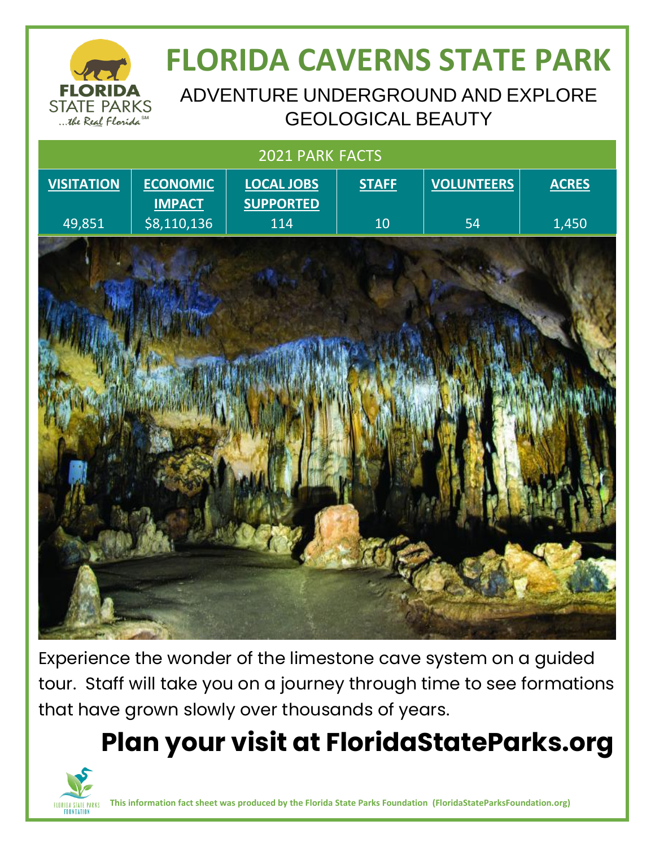

# **FLORIDA CAVERNS STATE PARK**

ADVENTURE UNDERGROUND AND EXPLORE GEOLOGICAL BEAUTY

| 2021 PARK FACTS   |                              |                         |              |                   |              |
|-------------------|------------------------------|-------------------------|--------------|-------------------|--------------|
| <b>VISITATION</b> | <b>ECONOMIC</b>              | <b>LOCAL JOBS</b>       | <b>STAFF</b> | <b>VOLUNTEERS</b> | <b>ACRES</b> |
| 49,851            | <b>IMPACT</b><br>\$8,110,136 | <b>SUPPORTED</b><br>114 | 10           | 54                | 1,450        |
|                   |                              |                         |              |                   |              |
|                   |                              |                         |              |                   |              |
|                   |                              |                         |              |                   |              |
|                   |                              |                         |              |                   |              |
|                   |                              |                         |              |                   |              |
|                   |                              |                         |              |                   |              |
|                   |                              |                         |              |                   |              |
|                   |                              |                         |              |                   |              |
|                   |                              |                         |              |                   |              |
|                   |                              |                         |              |                   |              |
|                   |                              |                         |              |                   |              |
|                   |                              |                         |              |                   |              |
|                   |                              |                         |              |                   |              |
|                   |                              |                         |              |                   |              |

Experience the wonder of the limestone cave system on a guided tour. Staff will take you on a journey through time to see formations that have grown slowly over thousands of years.

# **Plan your visit at FloridaStateParks.org**



**This information fact sheet was produced by the Florida State Parks Foundation (FloridaStateParksFoundation.org)**